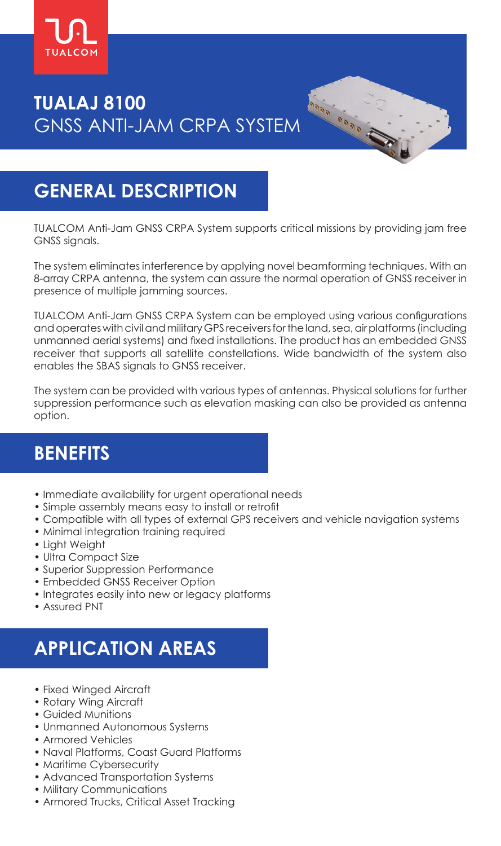

# **TUALAJ 8100** GNSS ANTI-JAM CRPA SYSTEM

# **GENERAL DESCRIPTION**

TUALCOM Anti-Jam GNSS CRPA System supports critical missions by providing jam free GNSS signals.

Analysis Calada

The system eliminates interference by applying novel beamforming techniques. With an 8-array CRPA antenna, the system can assure the normal operation of GNSS receiver in presence of multiple jamming sources.

TUALCOM Anti-Jam GNSS CRPA System can be employed using various configurations and operates with civil and military GPS receivers for the land, sea, air platforms (including unmanned aerial systems) and fixed installations. The product has an embedded GNSS receiver that supports all satellite constellations. Wide bandwidth of the system also enables the SBAS signals to GNSS receiver.

The system can be provided with various types of antennas. Physical solutions for further suppression performance such as elevation masking can also be provided as antenna option.

#### **BENEFITS**

- Immediate availability for urgent operational needs
- Simple assembly means easy to install or retrofit
- Compatible with all types of external GPS receivers and vehicle navigation systems
- Minimal integration training required
- Light Weight
- Ultra Compact Size
- Superior Suppression Performance
- Embedded GNSS Receiver Option
- Integrates easily into new or legacy platforms
- Assured PNT

# **APPLICATION AREAS**

- Fixed Winged Aircraft
- Rotary Wing Aircraft
- Guided Munitions
- Unmanned Autonomous Systems
- Armored Vehicles
- Naval Platforms, Coast Guard Platforms
- Maritime Cybersecurity
- Advanced Transportation Systems
- Military Communications
- Armored Trucks, Critical Asset Tracking